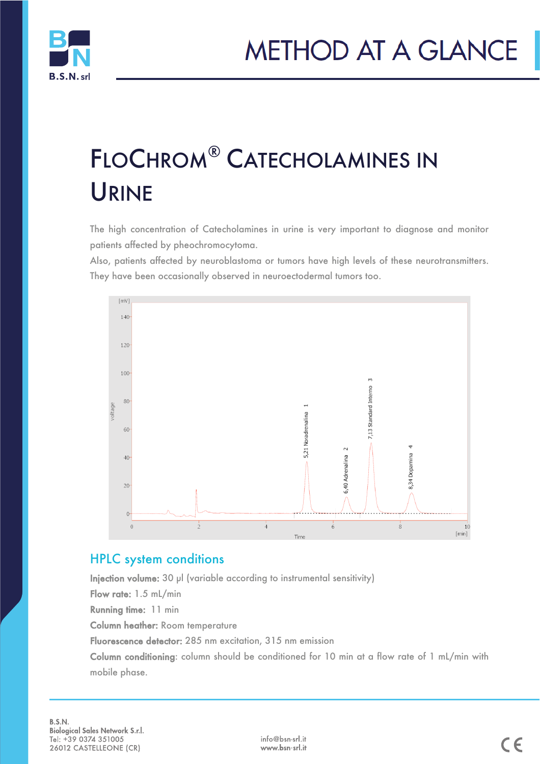

# FLOCHROM® CATECHOLAMINES IN URINE

The high concentration of Catecholamines in urine is very important to diagnose and monitor patients affected by pheochromocytoma.

Also, patients affected by neuroblastoma or tumors have high levels of these neurotransmitters. They have been occasionally observed in neuroectodermal tumors too.



#### HPLC system conditions

Injection volume: 30 µl (variable according to instrumental sensitivity)

Flow rate: 1.5 mL/min

Running time: 11 min

Column heather: Room temperature

Fluorescence detector: 285 nm excitation, 315 nm emission

Column conditioning: column should be conditioned for 10 min at a flow rate of 1 mL/min with mobile phase.